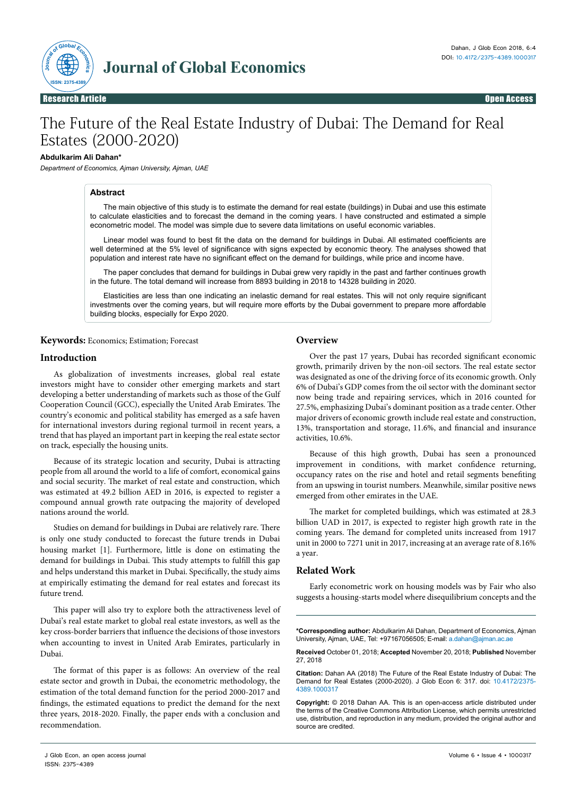

Open Access

# The Future of the Real Estate Industry of Dubai: The Demand for Real Estates (2000-2020)

# **Abdulkarim Ali Dahan\***

*Department of Economics, Ajman University, Ajman, UAE*

# **Abstract**

The main objective of this study is to estimate the demand for real estate (buildings) in Dubai and use this estimate to calculate elasticities and to forecast the demand in the coming years. I have constructed and estimated a simple econometric model. The model was simple due to severe data limitations on useful economic variables.

Linear model was found to best fit the data on the demand for buildings in Dubai. All estimated coefficients are well determined at the 5% level of significance with signs expected by economic theory. The analyses showed that population and interest rate have no significant effect on the demand for buildings, while price and income have.

The paper concludes that demand for buildings in Dubai grew very rapidly in the past and farther continues growth in the future. The total demand will increase from 8893 building in 2018 to 14328 building in 2020.

Elasticities are less than one indicating an inelastic demand for real estates. This will not only require significant investments over the coming years, but will require more efforts by the Dubai government to prepare more affordable building blocks, especially for Expo 2020.

**Keywords:** Economics; Estimation; Forecast

# **Introduction**

As globalization of investments increases, global real estate investors might have to consider other emerging markets and start developing a better understanding of markets such as those of the Gulf Cooperation Council (GCC), especially the United Arab Emirates. The country's economic and political stability has emerged as a safe haven for international investors during regional turmoil in recent years, a trend that has played an important part in keeping the real estate sector on track, especially the housing units.

Because of its strategic location and security, Dubai is attracting people from all around the world to a life of comfort, economical gains and social security. The market of real estate and construction, which was estimated at 49.2 billion AED in 2016, is expected to register a compound annual growth rate outpacing the majority of developed nations around the world.

Studies on demand for buildings in Dubai are relatively rare. There is only one study conducted to forecast the future trends in Dubai housing market [1]. Furthermore, little is done on estimating the demand for buildings in Dubai. This study attempts to fulfill this gap and helps understand this market in Dubai. Specifically, the study aims at empirically estimating the demand for real estates and forecast its future trend.

This paper will also try to explore both the attractiveness level of Dubai's real estate market to global real estate investors, as well as the key cross-border barriers that influence the decisions of those investors when accounting to invest in United Arab Emirates, particularly in Dubai.

The format of this paper is as follows: An overview of the real estate sector and growth in Dubai, the econometric methodology, the estimation of the total demand function for the period 2000-2017 and findings, the estimated equations to predict the demand for the next three years, 2018-2020. Finally, the paper ends with a conclusion and recommendation.

# **Overview**

Over the past 17 years, Dubai has recorded significant economic growth, primarily driven by the non-oil sectors. The real estate sector was designated as one of the driving force of its economic growth. Only 6% of Dubai's GDP comes from the oil sector with the dominant sector now being trade and repairing services, which in 2016 counted for 27.5%, emphasizing Dubai's dominant position as a trade center. Other major drivers of economic growth include real estate and construction, 13%, transportation and storage, 11.6%, and financial and insurance activities, 10.6%.

Because of this high growth, Dubai has seen a pronounced improvement in conditions, with market confidence returning, occupancy rates on the rise and hotel and retail segments benefiting from an upswing in tourist numbers. Meanwhile, similar positive news emerged from other emirates in the UAE.

The market for completed buildings, which was estimated at 28.3 billion UAD in 2017, is expected to register high growth rate in the coming years. The demand for completed units increased from 1917 unit in 2000 to 7271 unit in 2017, increasing at an average rate of 8.16% a year.

# **Related Work**

Early econometric work on housing models was by Fair who also suggests a housing-starts model where disequilibrium concepts and the

**Received** October 01, 2018; **Accepted** November 20, 2018; **Published** November 27, 2018

**<sup>\*</sup>Corresponding author:** Abdulkarim Ali Dahan, Department of Economics, Ajman University, Ajman, UAE, Tel: +97167056505; E-mail: a.dahan@ajman.ac.ae

**Citation:** Dahan AA (2018) The Future of the Real Estate Industry of Dubai: The Demand for Real Estates (2000-2020). J Glob Econ 6: 317. doi: 10.4172/2375- 4389.1000317

**Copyright:** © 2018 Dahan AA. This is an open-access article distributed under the terms of the Creative Commons Attribution License, which permits unrestricted use, distribution, and reproduction in any medium, provided the original author and source are credited.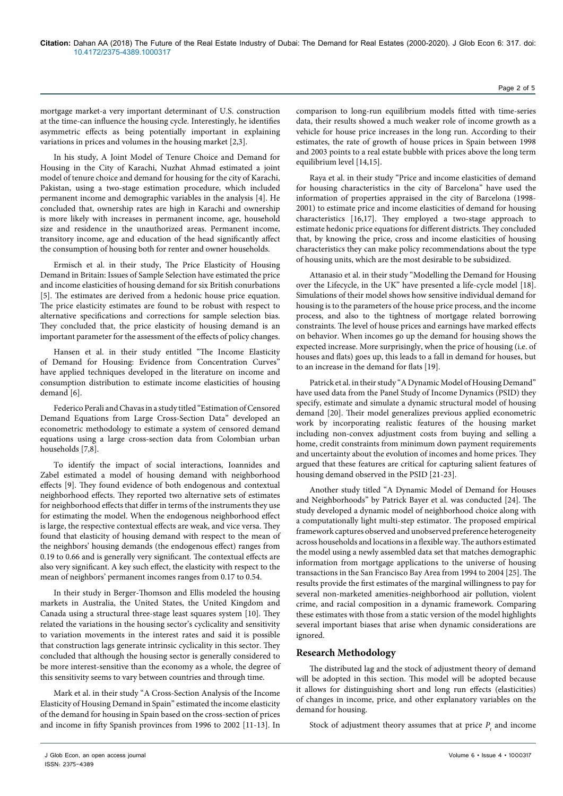mortgage market-a very important determinant of U.S. construction at the time-can influence the housing cycle. Interestingly, he identifies asymmetric effects as being potentially important in explaining variations in prices and volumes in the housing market [2,3].

In his study, A Joint Model of Tenure Choice and Demand for Housing in the City of Karachi, Nuzhat Ahmad estimated a joint model of tenure choice and demand for housing for the city of Karachi, Pakistan, using a two-stage estimation procedure, which included permanent income and demographic variables in the analysis [4]. He concluded that, ownership rates are high in Karachi and ownership is more likely with increases in permanent income, age, household size and residence in the unauthorized areas. Permanent income, transitory income, age and education of the head significantly affect the consumption of housing both for renter and owner households.

Ermisch et al. in their study, The Price Elasticity of Housing Demand in Britain: Issues of Sample Selection have estimated the price and income elasticities of housing demand for six British conurbations [5]. The estimates are derived from a hedonic house price equation. The price elasticity estimates are found to be robust with respect to alternative specifications and corrections for sample selection bias. They concluded that, the price elasticity of housing demand is an important parameter for the assessment of the effects of policy changes.

Hansen et al. in their study entitled "The Income Elasticity of Demand for Housing: Evidence from Concentration Curves" have applied techniques developed in the literature on income and consumption distribution to estimate income elasticities of housing demand [6].

Federico Perali and Chavas in a study titled "Estimation of Censored Demand Equations from Large Cross-Section Data" developed an econometric methodology to estimate a system of censored demand equations using a large cross-section data from Colombian urban households [7,8].

To identify the impact of social interactions, Ioannides and Zabel estimated a model of housing demand with neighborhood effects [9]. They found evidence of both endogenous and contextual neighborhood effects. They reported two alternative sets of estimates for neighborhood effects that differ in terms of the instruments they use for estimating the model. When the endogenous neighborhood effect is large, the respective contextual effects are weak, and vice versa. They found that elasticity of housing demand with respect to the mean of the neighbors' housing demands (the endogenous effect) ranges from 0.19 to 0.66 and is generally very significant. The contextual effects are also very significant. A key such effect, the elasticity with respect to the mean of neighbors' permanent incomes ranges from 0.17 to 0.54.

In their study in Berger-Thomson and Ellis modeled the housing markets in Australia, the United States, the United Kingdom and Canada using a structural three-stage least squares system [10]. They related the variations in the housing sector's cyclicality and sensitivity to variation movements in the interest rates and said it is possible that construction lags generate intrinsic cyclicality in this sector. They concluded that although the housing sector is generally considered to be more interest-sensitive than the economy as a whole, the degree of this sensitivity seems to vary between countries and through time.

Mark et al. in their study "A Cross-Section Analysis of the Income Elasticity of Housing Demand in Spain" estimated the income elasticity of the demand for housing in Spain based on the cross-section of prices and income in fifty Spanish provinces from 1996 to 2002 [11-13]. In comparison to long-run equilibrium models fitted with time-series data, their results showed a much weaker role of income growth as a vehicle for house price increases in the long run. According to their estimates, the rate of growth of house prices in Spain between 1998 and 2003 points to a real estate bubble with prices above the long term equilibrium level [14,15].

Raya et al. in their study "Price and income elasticities of demand for housing characteristics in the city of Barcelona" have used the information of properties appraised in the city of Barcelona (1998- 2001) to estimate price and income elasticities of demand for housing characteristics [16,17]. They employed a two-stage approach to estimate hedonic price equations for different districts. They concluded that, by knowing the price, cross and income elasticities of housing characteristics they can make policy recommendations about the type of housing units, which are the most desirable to be subsidized.

Attanasio et al. in their study "Modelling the Demand for Housing over the Lifecycle, in the UK" have presented a life-cycle model [18]. Simulations of their model shows how sensitive individual demand for housing is to the parameters of the house price process, and the income process, and also to the tightness of mortgage related borrowing constraints. The level of house prices and earnings have marked effects on behavior. When incomes go up the demand for housing shows the expected increase. More surprisingly, when the price of housing (i.e. of houses and flats) goes up, this leads to a fall in demand for houses, but to an increase in the demand for flats [19].

Patrick et al. in their study "A Dynamic Model of Housing Demand" have used data from the Panel Study of Income Dynamics (PSID) they specify, estimate and simulate a dynamic structural model of housing demand [20]. Their model generalizes previous applied econometric work by incorporating realistic features of the housing market including non-convex adjustment costs from buying and selling a home, credit constraints from minimum down payment requirements and uncertainty about the evolution of incomes and home prices. They argued that these features are critical for capturing salient features of housing demand observed in the PSID [21-23].

Another study titled "A Dynamic Model of Demand for Houses and Neighborhoods" by Patrick Bayer et al. was conducted [24]. The study developed a dynamic model of neighborhood choice along with a computationally light multi-step estimator. The proposed empirical framework captures observed and unobserved preference heterogeneity across households and locations in a flexible way. The authors estimated the model using a newly assembled data set that matches demographic information from mortgage applications to the universe of housing transactions in the San Francisco Bay Area from 1994 to 2004 [25]. The results provide the first estimates of the marginal willingness to pay for several non-marketed amenities-neighborhood air pollution, violent crime, and racial composition in a dynamic framework. Comparing these estimates with those from a static version of the model highlights several important biases that arise when dynamic considerations are ignored.

# **Research Methodology**

The distributed lag and the stock of adjustment theory of demand will be adopted in this section. This model will be adopted because it allows for distinguishing short and long run effects (elasticities) of changes in income, price, and other explanatory variables on the demand for housing.

Stock of adjustment theory assumes that at price  $P_t$  and income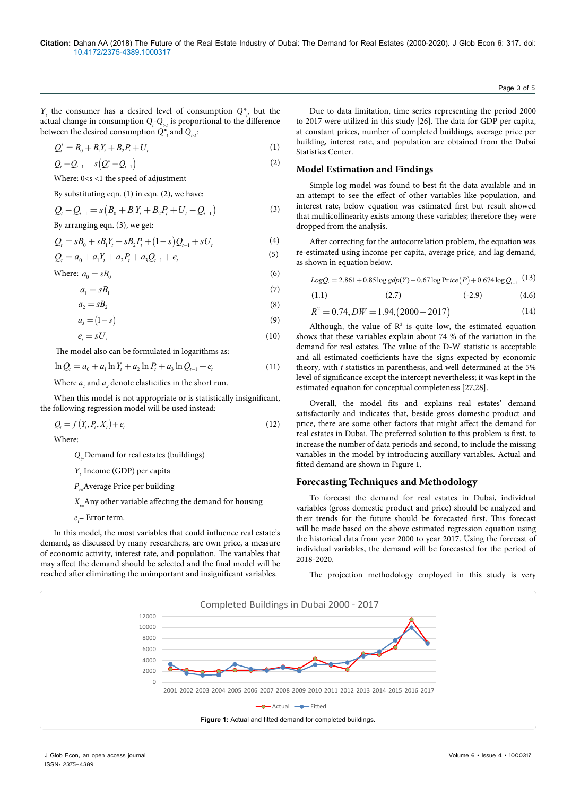*Y<sub>t</sub>* the consumer has a desired level of consumption  $Q^*_{t}$  but the actual change in consumption  $Q_t$ - $Q_{t-1}$  is proportional to the difference between the desired consumption  $Q_{t}^*$  and  $Q_{t\text{-}l}$ :

$$
Q_t^* = B_0 + B_1 Y_t + B_2 P_t + U_t
$$
 (1)

$$
Q_{t} - Q_{t-1} = s \left( Q_{t}^{*} - Q_{t-1} \right)
$$
\n(2)

Where: 0<s <1 the speed of adjustment By substituting eqn.  $(1)$  in eqn.  $(2)$ , we have:

$$
Q_t - Q_{t-1} = s (B_0 + B_1 Y_t + B_2 P_t + U_t - Q_{t-1})
$$
\n(3)

By arranging eqn. (3), we get:

$$
Q_{i} = sB_{0} + sB_{1}Y_{i} + sB_{2}P_{i} + (1 - s)Q_{i-1} + sU_{i}
$$
\n<sup>(4)</sup>

$$
Q_{i} = a_{0} + a_{1}Y_{t} + a_{2}P_{t} + a_{3}Q_{t-1} + e_{t}
$$
\n<sup>(5)</sup>

Where:  $a_0 = sB_0$  (6)

$$
a_1 = sB_1 \tag{7}
$$

$$
a_2 = sB_2 \tag{8}
$$

$$
a_3 = (1 - s) \tag{9}
$$

$$
e_t = sU_t \tag{10}
$$

The model also can be formulated in logarithms as:

$$
\ln Q_t = a_0 + a_1 \ln Y_t + a_2 \ln P_t + a_3 \ln Q_{t-1} + e_t \tag{11}
$$

Where  $a_{i}$  and  $a_{i}$  denote elasticities in the short run.

When this model is not appropriate or is statistically insignificant, the following regression model will be used instead:

$$
Q_t = f(Y_t, P_t, X_t) + e_t \tag{12}
$$

Where:

*Q*<sub>p</sub> Demand for real estates (buildings)

*Y*<sub>-</sub>Income (GDP) per capita

*P*<sub>=</sub>Average Price per building

*X*<sub>-</sub>Any other variable affecting the demand for housing

 $e_t$ = Error term.

In this model, the most variables that could influence real estate's demand, as discussed by many researchers, are own price, a measure of economic activity, interest rate, and population. The variables that may affect the demand should be selected and the final model will be reached after eliminating the unimportant and insignificant variables.

Due to data limitation, time series representing the period 2000 to 2017 were utilized in this study [26]. The data for GDP per capita, at constant prices, number of completed buildings, average price per building, interest rate, and population are obtained from the Dubai Statistics Center.

# **Model Estimation and Findings**

Simple log model was found to best fit the data available and in an attempt to see the effect of other variables like population, and interest rate, below equation was estimated first but result showed that multicollinearity exists among these variables; therefore they were dropped from the analysis.

After correcting for the autocorrelation problem, the equation was re-estimated using income per capita, average price, and lag demand, as shown in equation below.

$$
Log Q_t = 2.861 + 0.85 \log gdp(Y) - 0.67 \log \text{Price}(P) + 0.674 \log Q_{t-1}
$$
 (13)

$$
(1.1) \t(2.7) \t(-2.9) \t(4.6)
$$

$$
R^2 = 0.74, DW = 1.94, (2000 - 2017)
$$
\n<sup>(14)</sup>

Although, the value of  $\mathbb{R}^2$  is quite low, the estimated equation shows that these variables explain about 74 % of the variation in the demand for real estates. The value of the D-W statistic is acceptable and all estimated coefficients have the signs expected by economic theory, with *t* statistics in parenthesis, and well determined at the 5% level of significance except the intercept nevertheless; it was kept in the estimated equation for conceptual completeness [27,28].

Overall, the model fits and explains real estates' demand satisfactorily and indicates that, beside gross domestic product and price, there are some other factors that might affect the demand for real estates in Dubai. The preferred solution to this problem is first, to increase the number of data periods and second, to include the missing variables in the model by introducing auxillary variables. Actual and fitted demand are shown in Figure 1.

# **Forecasting Techniques and Methodology**

To forecast the demand for real estates in Dubai, individual variables (gross domestic product and price) should be analyzed and their trends for the future should be forecasted first. This forecast will be made based on the above estimated regression equation using the historical data from year 2000 to year 2017. Using the forecast of individual variables, the demand will be forecasted for the period of 2018-2020.

The projection methodology employed in this study is very



Page 3 of 5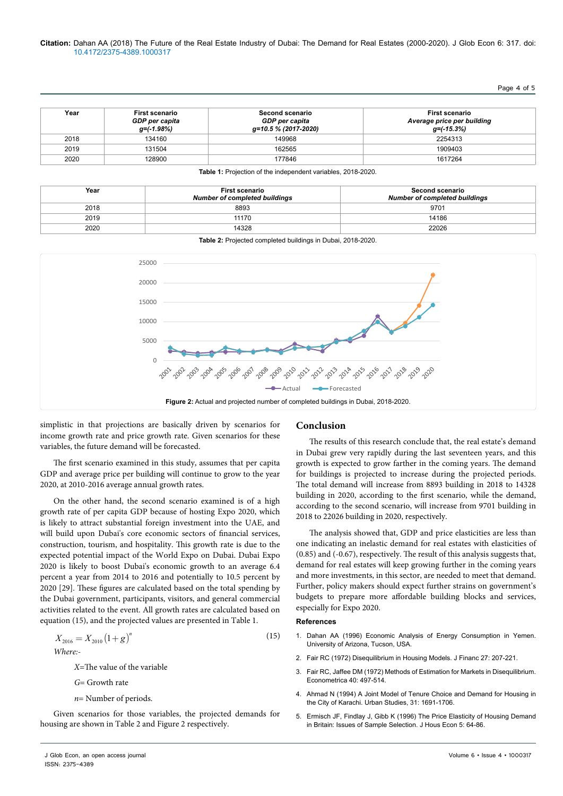Page 4 of 5

| Year | <b>First scenario</b><br>GDP per capita<br>g=(-1.98%) | <b>Second scenario</b><br>GDP per capita<br>g=10.5 % (2017-2020) | <b>First scenario</b><br>Average price per building<br>q=(-15.3%) |
|------|-------------------------------------------------------|------------------------------------------------------------------|-------------------------------------------------------------------|
| 2018 | 134160                                                | 149968                                                           | 2254313                                                           |
| 2019 | 131504                                                | 162565                                                           | 1909403                                                           |
| 2020 | 128900                                                | 177846                                                           | 1617264                                                           |

**Table 1:** Projection of the independent variables, 2018-2020.

| Year | <b>First scenario</b><br><b>Number of completed buildings</b> | Second scenario<br><b>Number of completed buildings</b> |
|------|---------------------------------------------------------------|---------------------------------------------------------|
| 2018 | 8893                                                          | 9701                                                    |
| 2019 | 11170                                                         | 14186                                                   |
| 2020 | 14328                                                         | 22026                                                   |



simplistic in that projections are basically driven by scenarios for income growth rate and price growth rate. Given scenarios for these variables, the future demand will be forecasted.

The first scenario examined in this study, assumes that per capita GDP and average price per building will continue to grow to the year 2020, at 2010-2016 average annual growth rates.

On the other hand, the second scenario examined is of a high growth rate of per capita GDP because of hosting Expo 2020, which is likely to attract substantial foreign investment into the UAE, and will build upon Dubai's core economic sectors of financial services, construction, tourism, and hospitality. This growth rate is due to the expected potential impact of the World Expo on Dubai. Dubai Expo 2020 is likely to boost Dubai's economic growth to an average 6.4 percent a year from 2014 to 2016 and potentially to 10.5 percent by 2020 [29]. These figures are calculated based on the total spending by the Dubai government, participants, visitors, and general commercial activities related to the event. All growth rates are calculated based on equation (15), and the projected values are presented in Table 1.

$$
X_{2016} = X_{2010} \left(1 + g\right)^n \tag{15}
$$
  
Where:-

*X*=The value of the variable

- *G*= Growth rate
- *n*= Number of periods.

Given scenarios for those variables, the projected demands for housing are shown in Table 2 and Figure 2 respectively.

# **Conclusion**

The results of this research conclude that, the real estate's demand in Dubai grew very rapidly during the last seventeen years, and this growth is expected to grow farther in the coming years. The demand for buildings is projected to increase during the projected periods. The total demand will increase from 8893 building in 2018 to 14328 building in 2020, according to the first scenario, while the demand, according to the second scenario, will increase from 9701 building in 2018 to 22026 building in 2020, respectively.

The analysis showed that, GDP and price elasticities are less than one indicating an inelastic demand for real estates with elasticities of (0.85) and (-0.67), respectively. The result of this analysis suggests that, demand for real estates will keep growing further in the coming years and more investments, in this sector, are needed to meet that demand. Further, policy makers should expect further strains on government's budgets to prepare more affordable building blocks and services, especially for Expo 2020.

#### **References**

- 1. Dahan AA (1996) Economic Analysis of Energy Consumption in Yemen. University of Arizona, Tucson, USA.
- 2. [Fair RC \(1972\) Disequilibrium in Housing Models. J Financ 27: 207-221.](https://doi.org/10.1111/j.1540-6261.1972.tb00955.x)
- 3. [Fair RC, Jaffee DM \(1972\) Methods of Estimation for Markets in Disequilibrium.](https://www.jstor.org/stable/1913181)  [Econometrica 40: 497-514.](https://www.jstor.org/stable/1913181)
- 4. [Ahmad N \(1994\) A Joint Model of Tenure Choice and Demand for Housing in](https://doi.org/10.1080%2F00420989420081581)  [the City of Karachi. Urban Studies, 31: 1691-1706.](https://doi.org/10.1080%2F00420989420081581)
- 5. [Ermisch JF, Findlay J, Gibb K \(1996\) The Price Elasticity of Housing Demand](https://www.infona.pl/resource/bwmeta1.element.elsevier-ea31073f-db17-3125-a0fb-204d597b0d10)  [in Britain: Issues of Sample Selection. J Hous Econ 5: 64-86.](https://www.infona.pl/resource/bwmeta1.element.elsevier-ea31073f-db17-3125-a0fb-204d597b0d10)